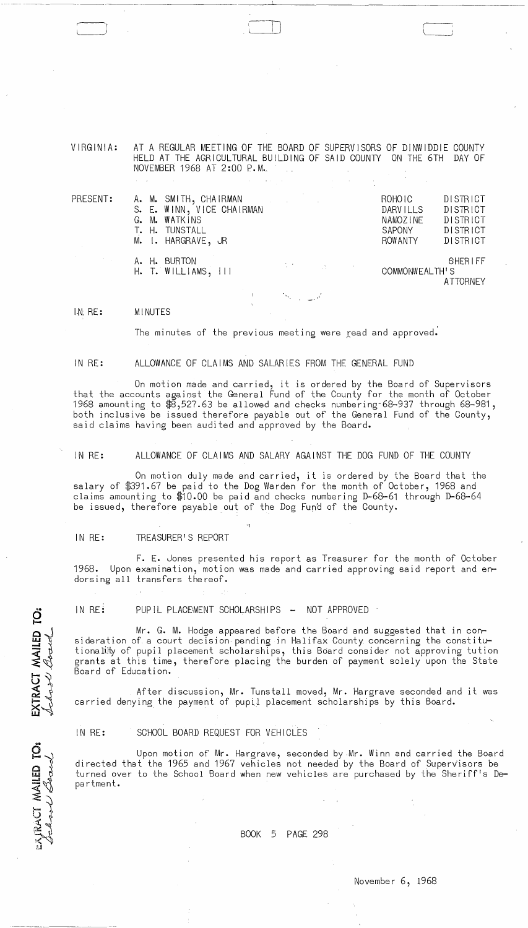VIRGINIA: AT A REGULAR MEETING OF THE BOARD OF SUPERVISORS OF DINWIDDIE COUNTY HELD AT THE AGRICULTURAL BUILDING OF SAID COUNTY ON THE 6TH DAY OF NOVEMBER 1968 AT 2:00 P.M.\_

| PRESENT: |  | A. M. SMITH, CHAIRMAN<br>S. E. WINN, VICE CHAIRMAN<br>G. M. WATKINS<br>T. H. TUNSTALL<br>M. I. HARGRAVE, JR | $\label{eq:2.1} \frac{1}{\sqrt{2\pi}}\left(\frac{1}{\sqrt{2\pi}}\right)^{1/2}\left(\frac{1}{\sqrt{2\pi}}\right)^{1/2}\left(\frac{1}{\sqrt{2\pi}}\right)^{1/2}\left(\frac{1}{\sqrt{2\pi}}\right)^{1/2}\left(\frac{1}{\sqrt{2\pi}}\right)^{1/2}\left(\frac{1}{\sqrt{2\pi}}\right)^{1/2}\left(\frac{1}{\sqrt{2\pi}}\right)^{1/2}\left(\frac{1}{\sqrt{2\pi}}\right)^{1/2}\left(\frac{1}{\sqrt{2\pi}}\right)^{1/2}\left(\frac{1}{\sqrt{$ |                                                                                                                                  | ROHOIC<br><b>DARVILLS</b><br>NAMOZINE<br>SAPONY<br>ROWANTY | <b>DISTRICT</b><br><b>DISTRICT</b><br><b>DISTRICT</b><br><b>DISTRICT</b><br>DISTRICT |
|----------|--|-------------------------------------------------------------------------------------------------------------|-------------------------------------------------------------------------------------------------------------------------------------------------------------------------------------------------------------------------------------------------------------------------------------------------------------------------------------------------------------------------------------------------------------------------------------|----------------------------------------------------------------------------------------------------------------------------------|------------------------------------------------------------|--------------------------------------------------------------------------------------|
|          |  | A. H. BURTON<br>H. T. WILLIAMS, III                                                                         |                                                                                                                                                                                                                                                                                                                                                                                                                                     | $\label{eq:2.1} \mathcal{L}(\mathcal{F}) = \mathcal{L}(\mathcal{F}) \otimes \mathcal{L}(\mathcal{F}) = \mathcal{L}(\mathcal{F})$ | COMMONWEALTH'S                                             | <b>SHERIFF</b><br><b>ATTORNEY</b>                                                    |

IN RE: MINUTES

------------------------- - --------

l~) IJ

The minutes of the previous meeting were read and approved.

.'

#### IN RE: ALLOWANCE OF CLAIMS AND SALARIES FROM THE GENERAL FUND

On motion made and carried, it is ordered by the Board of Supervisors that the accounts against the General Fund of the County for the month of October 1968 amounting to \$8,527.63 be allowed and checks numbering-68-937 through 68-981, both inclusive be issued therefore payable out of the General Fund of the County, said claims having been audited and approved by the Board.

IN RE: ALLOWANCE OF CLAIMS AND SALARY AGAINST THE DOG FUND OF THE COUNTY

On motion duly made and carried, it is ordered by the Board that the salary of \$391.67 be paid to the Dog Warden for the month of October, 1968 and claims amounting to \$10.00 be paid and checks numbering D-68-61 through D-68-64 be issued, therefore payable out of the Dog Fun'd of the County.

IN RE: TREASURER'S REPORT

F. E. Jones presented his report as Treasurer for the month of October 1968. Upon examination, motion was made and carried approving said report and endorsing all transfers thereof.

IN RE: PUPIL PLACEMENT SCHOLARSHIPS - NOT APPROVED

-1

Mr. G. M. Hodge appeared before the Board and suggested that in consideration of a court decision- pending in Halifax County concerning the constitutionality of pupil placement scholarships, this Board consider not approving tution grants at this time, therefore placing the burden of payment solely upon the State Board of Education.

After discussion, Mr. Tunstall moved, Mr. Hargrave seconded and it was carried denying the payment of pupil placement scholarships by this Board.

IN RE: SCHOOL BOARD REQUEST FOR VEHICLES

Upon motion of Mr. Hargrave, seconded by Mr. Winn and carried the Board directed that the 1965 and 1967 vehicles not needed by the Board of SuperVisors be turned over to the School Board when new vehicles are purchased by the Sheriff's Department.

EXJRACT MAILEI

EXTRACT MAILED TO:

BOOK 5 PAGE 298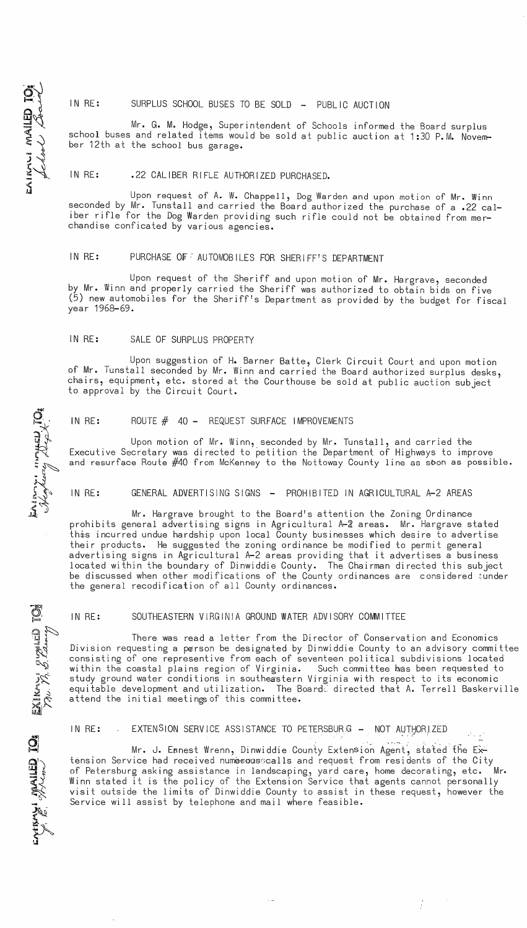## IN RE: SURPLUS SCHOOL BUSES TO BE SOLD - PUBLIC AUCTION

Mr. G. M. Hodge, Superintendent of Schools informed the Board surplus school buses and related items would be sold at public auction at 1:30 P.M. November 12th at the school bus garage.

## IN RE: .22 CALIBER RIFLE AUTHORIZED PURCHASED.

Upon request of A. W. Chappell, Dog Warden and upon motion of Mr. Winn seconded by Mr. Tunstall and carried the Board authorized the purchase of a .22 caliber rifle for the Dog Warden providing such rifle could not be obtained from merchandise conficated by various agencies.

## IN RE: PURCHASE OF AUTOMOBILES FOR SHERIFF'S DEPARTMENT

Upon request of the Sheriff and upon motion of Mr. Hargrave, seconded by Mr. Winn and properly carried the Sheriff was authorized to obtain bids on five (5) new automobiles for the Sheriff!s Department as provided by the budget for fiscal year 1968-69.

### IN RE: SALE OF SURPLUS PROPERTY

Upon suggestion of H. Barner Batte, Clerk Circuit Court and upon motion of Mr. Tunstall seconded by Mr. Winn and carried the Board authorized surplus desks, chairs, equipment, etc. stored at the Courthouse be sold at public auction subject to approval by the Circuit Court.

## IN RE: ROUTE  $#$  40 - REQUEST SURFACE IMPROVEMENTS

Upon motion of Mr. Winn, seconded by Mr. Tunstall, and carried the Executive Secretary was directed to petition the Department of Highways to improve and resurface Route #40 from McKenney to the Nottoway County line as sbon as possible.

#### IN RE: GENERAL ADVERTISING SIGNS - PROHIBITED IN AGRICULTURAL A-2 AREAS

Mr. Hargrave brought to the Board!s attention the Zoning Ordinance prohibits general advertising signs in Agricultural A-J areas. Mr. Hargrave stated this incurred undue hardship upon local County businesses which desire to advertise their products. He suggested the zoning ordinance be modified to permit general advertising signs in Agricultural A-2 areas providing that it advertises a business located within the boundary of Dinwiddie County. The Chairman directed this subject be discussed when other modifications of the County ordinances are considered ;under the general recodification of all County ordinances.

## IN RE: SOUTHEASTERN VIRGINIA GROUND WATER ADVISORY COMMITTEE

 $\frac{1}{2}$ There was read a letter from the Director of Conservation and Economics Division requesting a person be designated by Dinwiddie County to an advisory committee consisting of one representive from each of seventeen political subdivisions located within the coastal plains region of Virginia. Such committee has been requested to study ground water conditions in southeastern Virginia with respect to its economic equitable development and utilization. The Boarde directed that A. Terrell Baskerville attend the initial meetings of this committee.

## IN RE: EXTENSION SERVICE ASSISTANCE TO PETERSBURG - NOT AUTHORIZED

Mr. J. Eanest Wrenn, Dinwiddie County Extension Agent, stated the Extension Service had received nume cousscalls and request from residents of the City of Petersburg asking assistance in landscaping, yard care, home decorating, etc. Winn stated it is the policy of the Extension Service that agents cannot personally visit outside the limits of Dinwiddie County to assist in these request, however the Service will assist by telephone and mail where feasible.

 $\frac{1}{2}$ 

 $\vec{\mathcal{O}}$ ti ~~ :~ ;<br>: 22<br>: 22  $\mathcal{Z}$ 

 $\overline{P}$ 

~~

 $\sum_{i,j}$ 

 $\mathbf{H}$ 

**~'1 ~'1 ~'1** 

 $\sum_{i=1}^{n}$ 

e]

 $\mathbf{\Omega}$ 

# $\begin{bmatrix} -1 \\ 1 \\ -1 \end{bmatrix}$  $\vec{\mathbf{B}}$ W I WA<br>Kool  $\frac{1}{2}$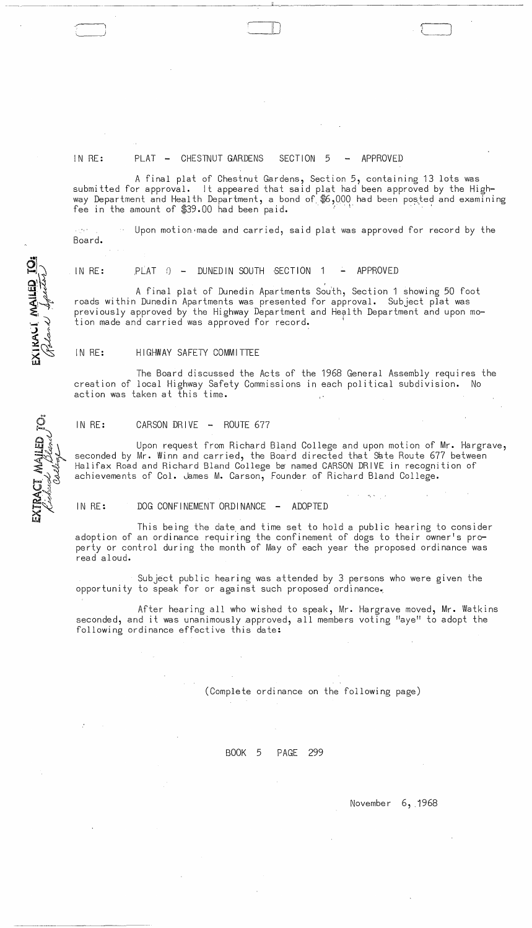

----------------------

#### IN RE: PLAT - CHESTNUT GARDENS SECTION 5 - APPROVED

A final plat of Chestnut Gardens, Section 5, containing 13 lots was submitted for approval. It appeared that said plat had been approved by the Highway Department and Health Department, a bond of \$6,000 had been posted and examining<br>fee in the amount of \$39.00 had been paid.

 $\alpha\gamma\sigma_{\rm E}$  s  $\sim$  Upon motion made and carried, said plat was approved for record by the Board.

,

IN RE:  $PLAT$   $\odot$   $-$  DUNED IN SOUTH SECTION 1  $-$  APPROVED

A final plat of Dunedin Apartments South, Section 1 showing 50 foot roads within Dunedin Apartments was presented for approval. Subject plat was previously approved by the Highway Department and Health Department and upon motion made and carried was approved for record.

#### IN RE: HIGHWAY SAFETY COMMITTEE

The Board discussed the Acts of the 1968 General Assembly requires the creation of local Highway Safety Commissions in each political subdivision. No action was taken at this time.

#### IN RE: CARSON DRIVE - ROUTE 677

Upon request from Richard Bland COllege and upon motion of Mr. Hargrave, seconded by Mr. Winn and carried, the Board directed that Sate Route 677 between Halifax Road and Richard Bland College be named CARSON DRIVE in recognition of achievements of Col. James M. Carson, Founder of Richard Bland College.

#### IN RE: DOG CONFINEMENT ORDINANCE - ADOPTED

This being the date and time set to hold a public hearing to consider adoption of an ordinance requiring the confinement of dogs to their owner's property or control during the month of May of each year the proposed ordinance was read aloud.

Subject public hearing was attended by 3 persons who were given the opportunity to speak for or against such proposed ordinance.;

After hearing all who wished to speak, Mr. Hargrave moved, Mr. Watkins seconded, and it was unanimously approved, all members voting "aye" to adopt the following ordinance effective this date:

(Complete ordinance on the following page)

#### BOOK 5 PAGE 299

November 6, 1968

EXIKALI MAILED TO

Ci<br>ED<br>
I

.-.-------------------